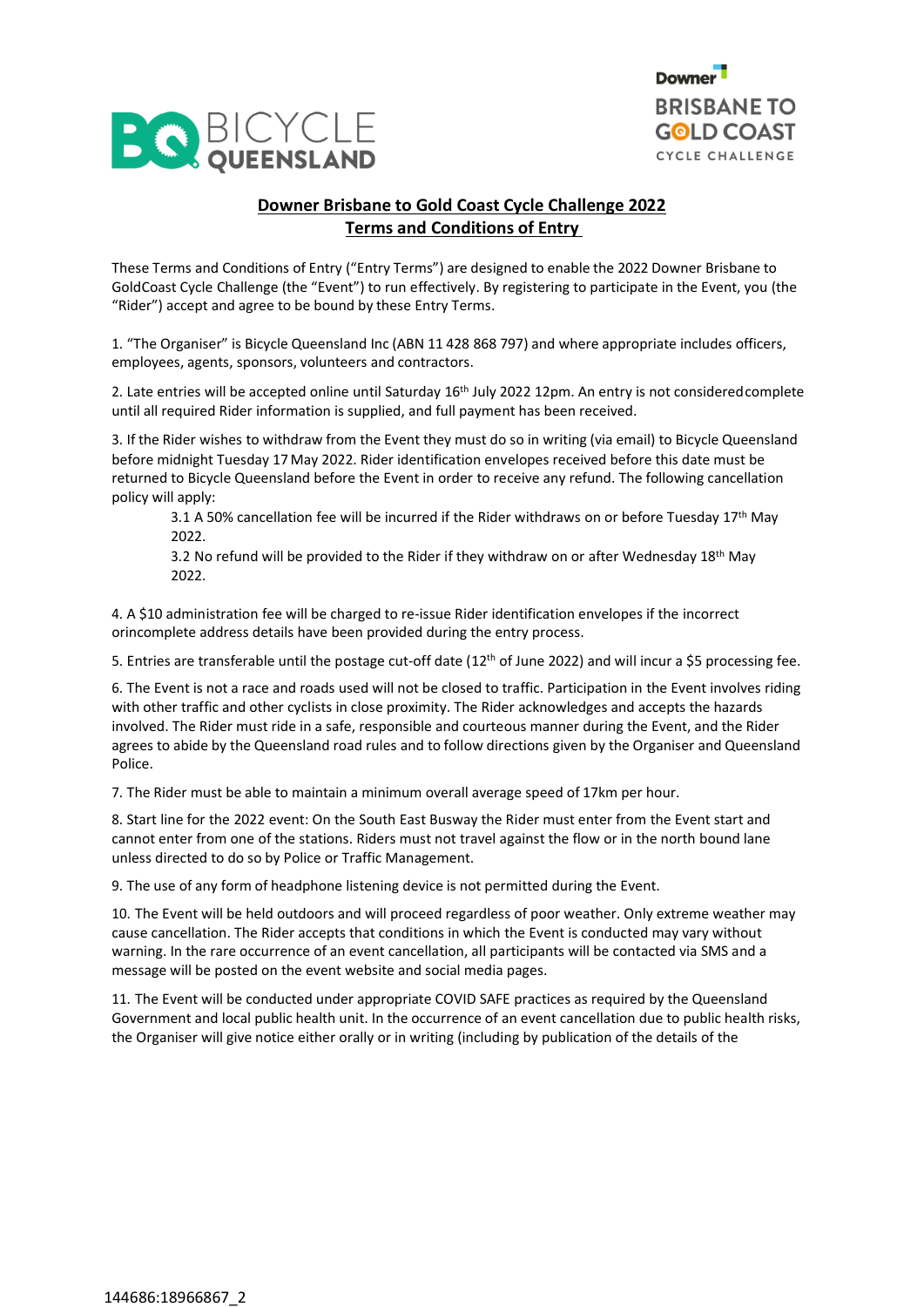



# **Downer Brisbane to Gold Coast Cycle Challenge 2022 Terms and Conditions of Entry**

These Terms and Conditions of Entry ("Entry Terms") are designed to enable the 2022 Downer Brisbane to GoldCoast Cycle Challenge (the "Event") to run effectively. By registering to participate in the Event, you (the "Rider") accept and agree to be bound by these Entry Terms.

1. "The Organiser" is Bicycle Queensland Inc (ABN 11 428 868 797) and where appropriate includes officers, employees, agents, sponsors, volunteers and contractors.

2. Late entries will be accepted online until Saturday 16<sup>th</sup> July 2022 12pm. An entry is not considered complete until all required Rider information is supplied, and full payment has been received.

3. If the Rider wishes to withdraw from the Event they must do so in writing (via email) to Bicycle Queensland before midnight Tuesday 17 May 2022. Rider identification envelopes received before this date must be returned to Bicycle Queensland before the Event in order to receive any refund. The following cancellation policy will apply:

3.1 A 50% cancellation fee will be incurred if the Rider withdraws on or before Tuesday 17<sup>th</sup> May 2022.

3.2 No refund will be provided to the Rider if they withdraw on or after Wednesday  $18<sup>th</sup>$  May 2022.

4. A \$10 administration fee will be charged to re-issue Rider identification envelopes if the incorrect orincomplete address details have been provided during the entry process.

5. Entries are transferable until the postage cut-off date (12<sup>th</sup> of June 2022) and will incur a \$5 processing fee.

6. The Event is not a race and roads used will not be closed to traffic. Participation in the Event involves riding with other traffic and other cyclists in close proximity. The Rider acknowledges and accepts the hazards involved. The Rider must ride in a safe, responsible and courteous manner during the Event, and the Rider agrees to abide by the Queensland road rules and to follow directions given by the Organiser and Queensland Police.

7. The Rider must be able to maintain a minimum overall average speed of 17km per hour.

8. Start line for the 2022 event: On the South East Busway the Rider must enter from the Event start and cannot enter from one of the stations. Riders must not travel against the flow or in the north bound lane unless directed to do so by Police or Traffic Management.

9. The use of any form of headphone listening device is not permitted during the Event.

10. The Event will be held outdoors and will proceed regardless of poor weather. Only extreme weather may cause cancellation. The Rider accepts that conditions in which the Event is conducted may vary without warning. In the rare occurrence of an event cancellation, all participants will be contacted via SMS and a message will be posted on the event website and social media pages.

11. The Event will be conducted under appropriate COVID SAFE practices as required by the Queensland Government and local public health unit. In the occurrence of an event cancellation due to public health risks, the Organiser will give notice either orally or in writing (including by publication of the details of the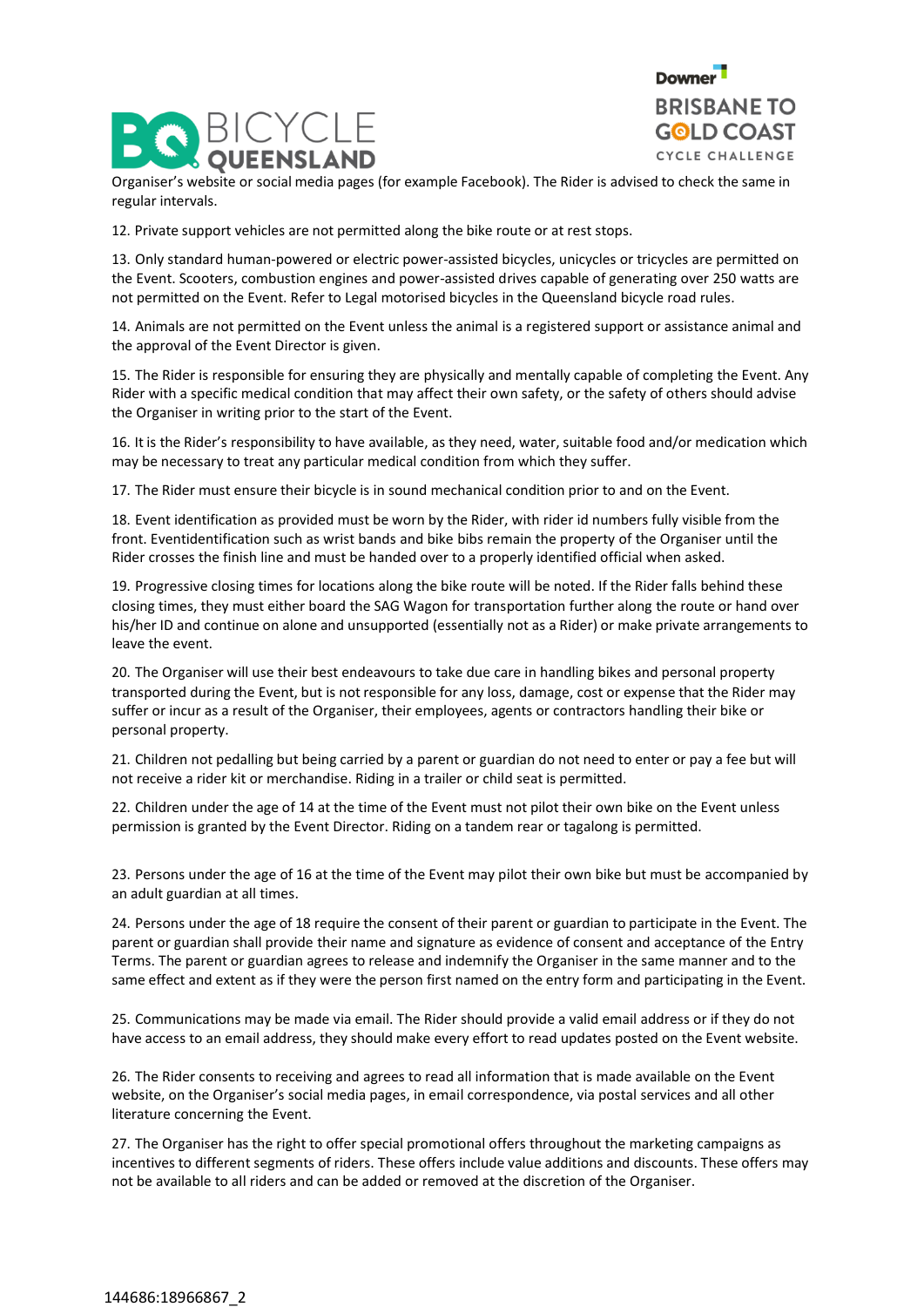



Organiser's website or social media pages (for example Facebook). The Rider is advised to check the same in regular intervals.

12. Private support vehicles are not permitted along the bike route or at rest stops.

13. Only standard human-powered or electric power-assisted bicycles, unicycles or tricycles are permitted on the Event. Scooters, combustion engines and power-assisted drives capable of generating over 250 watts are not permitted on the Event. Refer to Legal motorised bicycles in the Queensland bicycle road rules.

14. Animals are not permitted on the Event unless the animal is a registered support or assistance animal and the approval of the Event Director is given.

15. The Rider is responsible for ensuring they are physically and mentally capable of completing the Event. Any Rider with a specific medical condition that may affect their own safety, or the safety of others should advise the Organiser in writing prior to the start of the Event.

16. It is the Rider's responsibility to have available, as they need, water, suitable food and/or medication which may be necessary to treat any particular medical condition from which they suffer.

17. The Rider must ensure their bicycle is in sound mechanical condition prior to and on the Event.

18. Event identification as provided must be worn by the Rider, with rider id numbers fully visible from the front. Eventidentification such as wrist bands and bike bibs remain the property of the Organiser until the Rider crosses the finish line and must be handed over to a properly identified official when asked.

19. Progressive closing times for locations along the bike route will be noted. If the Rider falls behind these closing times, they must either board the SAG Wagon for transportation further along the route or hand over his/her ID and continue on alone and unsupported (essentially not as a Rider) or make private arrangements to leave the event.

20. The Organiser will use their best endeavours to take due care in handling bikes and personal property transported during the Event, but is not responsible for any loss, damage, cost or expense that the Rider may suffer or incur as a result of the Organiser, their employees, agents or contractors handling their bike or personal property.

21. Children not pedalling but being carried by a parent or guardian do not need to enter or pay a fee but will not receive a rider kit or merchandise. Riding in a trailer or child seat is permitted.

22. Children under the age of 14 at the time of the Event must not pilot their own bike on the Event unless permission is granted by the Event Director. Riding on a tandem rear or tagalong is permitted.

23. Persons under the age of 16 at the time of the Event may pilot their own bike but must be accompanied by an adult guardian at all times.

24. Persons under the age of 18 require the consent of their parent or guardian to participate in the Event. The parent or guardian shall provide their name and signature as evidence of consent and acceptance of the Entry Terms. The parent or guardian agrees to release and indemnify the Organiser in the same manner and to the same effect and extent as if they were the person first named on the entry form and participating in the Event.

25. Communications may be made via email. The Rider should provide a valid email address or if they do not have access to an email address, they should make every effort to read updates posted on the Event website.

26. The Rider consents to receiving and agrees to read all information that is made available on the Event website, on the Organiser's social media pages, in email correspondence, via postal services and all other literature concerning the Event.

27. The Organiser has the right to offer special promotional offers throughout the marketing campaigns as incentives to different segments of riders. These offers include value additions and discounts. These offers may not be available to all riders and can be added or removed at the discretion of the Organiser.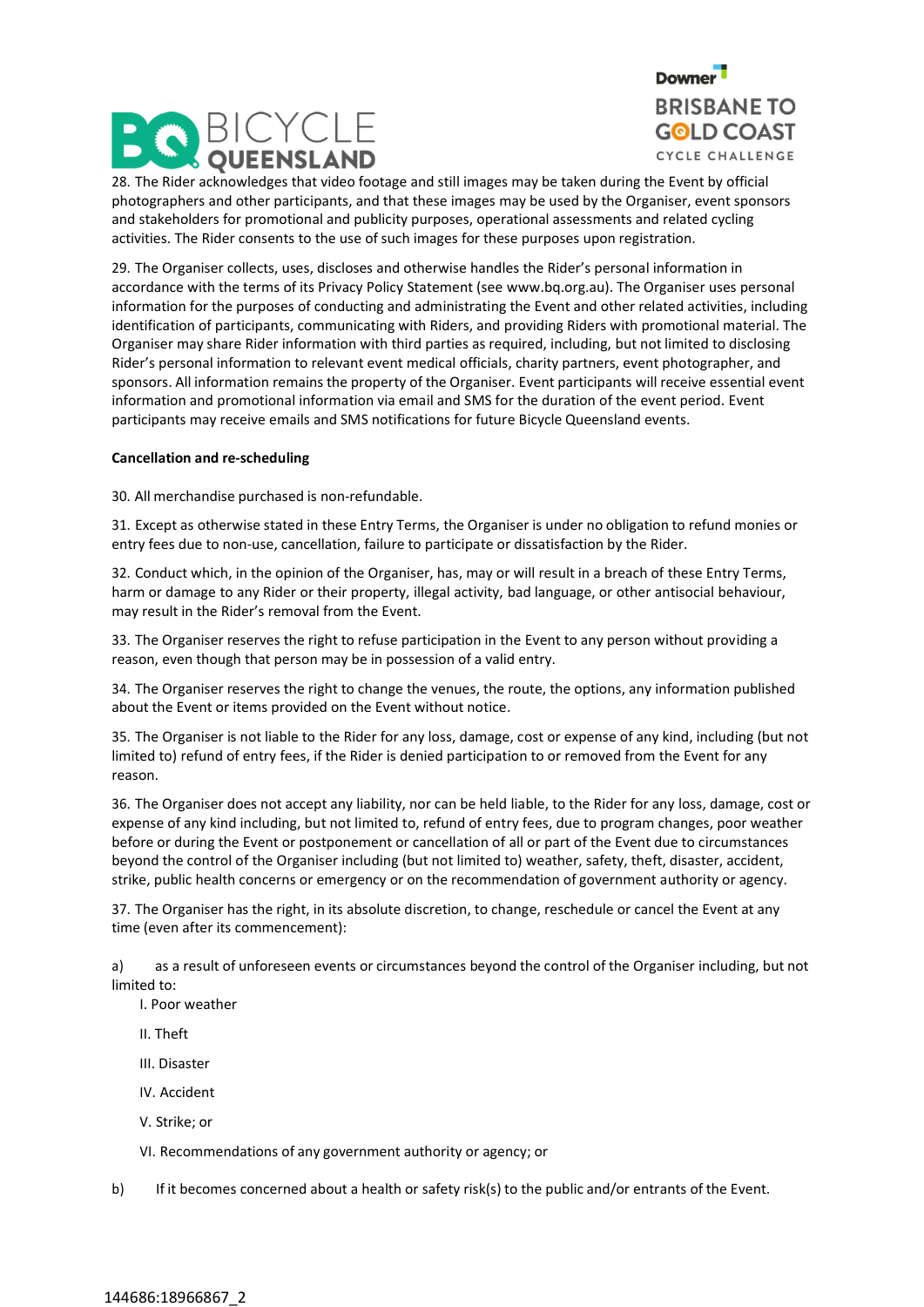



28. The Rider acknowledges that video footage and still images may be taken during the Event by official photographers and other participants, and that these images may be used by the Organiser, event sponsors and stakeholders for promotional and publicity purposes, operational assessments and related cycling activities. The Rider consents to the use of such images for these purposes upon registration.

29. The Organiser collects, uses, discloses and otherwise handles the Rider's personal information in accordance with the terms of its Privacy Policy Statement (see www.bq.org.au). The Organiser uses personal information for the purposes of conducting and administrating the Event and other related activities, including identification of participants, communicating with Riders, and providing Riders with promotional material. The Organiser may share Rider information with third parties as required, including, but not limited to disclosing Rider's personal information to relevant event medical officials, charity partners, event photographer, and sponsors. All information remains the property of the Organiser. Event participants will receive essential event information and promotional information via email and SMS for the duration of the event period. Event participants may receive emails and SMS notifications for future Bicycle Queensland events.

## **Cancellation and re-scheduling**

30. All merchandise purchased is non-refundable.

31. Except as otherwise stated in these Entry Terms, the Organiser is under no obligation to refund monies or entry fees due to non-use, cancellation, failure to participate or dissatisfaction by the Rider.

32. Conduct which, in the opinion of the Organiser, has, may or will result in a breach of these Entry Terms, harm or damage to any Rider or their property, illegal activity, bad language, or other antisocial behaviour, may result in the Rider's removal from the Event.

33. The Organiser reserves the right to refuse participation in the Event to any person without providing a reason, even though that person may be in possession of a valid entry.

34. The Organiser reserves the right to change the venues, the route, the options, any information published about the Event or items provided on the Event without notice.

35. The Organiser is not liable to the Rider for any loss, damage, cost or expense of any kind, including (but not limited to) refund of entry fees, if the Rider is denied participation to or removed from the Event for any reason.

36. The Organiser does not accept any liability, nor can be held liable, to the Rider for any loss, damage, cost or expense of any kind including, but not limited to, refund of entry fees, due to program changes, poor weather before or during the Event or postponement or cancellation of all or part of the Event due to circumstances beyond the control of the Organiser including (but not limited to) weather, safety, theft, disaster, accident, strike, public health concerns or emergency or on the recommendation of government authority or agency.

37. The Organiser has the right, in its absolute discretion, to change, reschedule or cancel the Event at any time (even after its commencement):

a) as a result of unforeseen events or circumstances beyond the control of the Organiser including, but not limited to:

- I. Poor weather
- II. Theft
- III. Disaster
- IV. Accident
- V. Strike; or

VI. Recommendations of any government authority or agency; or

b) If it becomes concerned about a health or safety risk(s) to the public and/or entrants of the Event.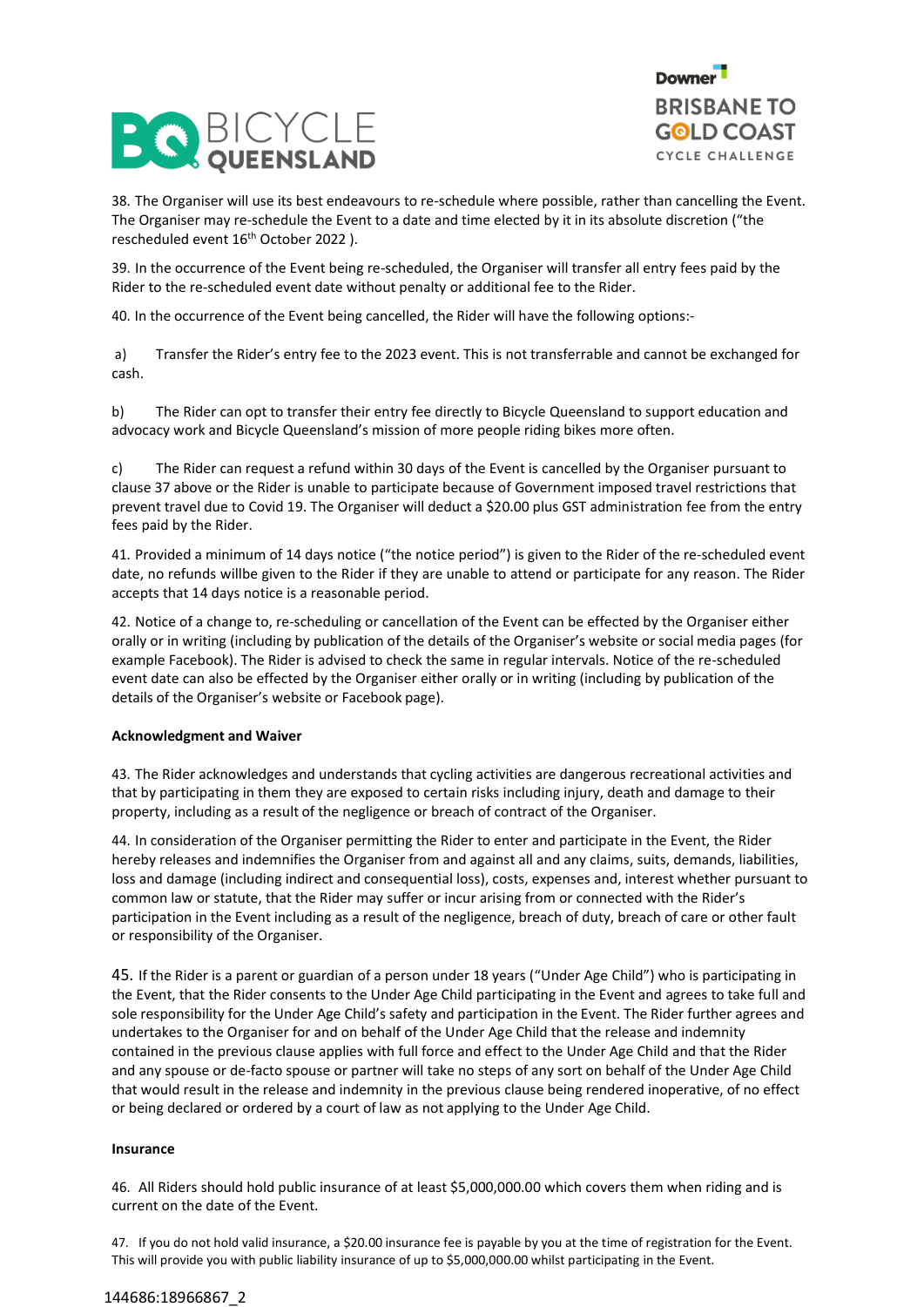



38. The Organiser will use its best endeavours to re-schedule where possible, rather than cancelling the Event. The Organiser may re-schedule the Event to a date and time elected by it in its absolute discretion ("the rescheduled event 16th October 2022 ).

39. In the occurrence of the Event being re-scheduled, the Organiser will transfer all entry fees paid by the Rider to the re-scheduled event date without penalty or additional fee to the Rider.

40. In the occurrence of the Event being cancelled, the Rider will have the following options:-

a) Transfer the Rider's entry fee to the 2023 event. This is not transferrable and cannot be exchanged for cash.

b) The Rider can opt to transfer their entry fee directly to Bicycle Queensland to support education and advocacy work and Bicycle Queensland's mission of more people riding bikes more often.

c) The Rider can request a refund within 30 days of the Event is cancelled by the Organiser pursuant to clause 37 above or the Rider is unable to participate because of Government imposed travel restrictions that prevent travel due to Covid 19. The Organiser will deduct a \$20.00 plus GST administration fee from the entry fees paid by the Rider.

41. Provided a minimum of 14 days notice ("the notice period") is given to the Rider of the re-scheduled event date, no refunds willbe given to the Rider if they are unable to attend or participate for any reason. The Rider accepts that 14 days notice is a reasonable period.

42. Notice of a change to, re-scheduling or cancellation of the Event can be effected by the Organiser either orally or in writing (including by publication of the details of the Organiser's website or social media pages (for example Facebook). The Rider is advised to check the same in regular intervals. Notice of the re-scheduled event date can also be effected by the Organiser either orally or in writing (including by publication of the details of the Organiser's website or Facebook page).

## **Acknowledgment and Waiver**

43. The Rider acknowledges and understands that cycling activities are dangerous recreational activities and that by participating in them they are exposed to certain risks including injury, death and damage to their property, including as a result of the negligence or breach of contract of the Organiser.

44. In consideration of the Organiser permitting the Rider to enter and participate in the Event, the Rider hereby releases and indemnifies the Organiser from and against all and any claims, suits, demands, liabilities, loss and damage (including indirect and consequential loss), costs, expenses and, interest whether pursuant to common law or statute, that the Rider may suffer or incur arising from or connected with the Rider's participation in the Event including as a result of the negligence, breach of duty, breach of care or other fault or responsibility of the Organiser.

45. If the Rider is a parent or guardian of a person under 18 years ("Under Age Child") who is participating in the Event, that the Rider consents to the Under Age Child participating in the Event and agrees to take full and sole responsibility for the Under Age Child's safety and participation in the Event. The Rider further agrees and undertakes to the Organiser for and on behalf of the Under Age Child that the release and indemnity contained in the previous clause applies with full force and effect to the Under Age Child and that the Rider and any spouse or de-facto spouse or partner will take no steps of any sort on behalf of the Under Age Child that would result in the release and indemnity in the previous clause being rendered inoperative, of no effect or being declared or ordered by a court of law as not applying to the Under Age Child.

## **Insurance**

46. All Riders should hold public insurance of at least \$5,000,000.00 which covers them when riding and is current on the date of the Event.

47. If you do not hold valid insurance, a \$20.00 insurance fee is payable by you at the time of registration for the Event. This will provide you with public liability insurance of up to \$5,000,000.00 whilst participating in the Event.

### 144686:18966867\_2